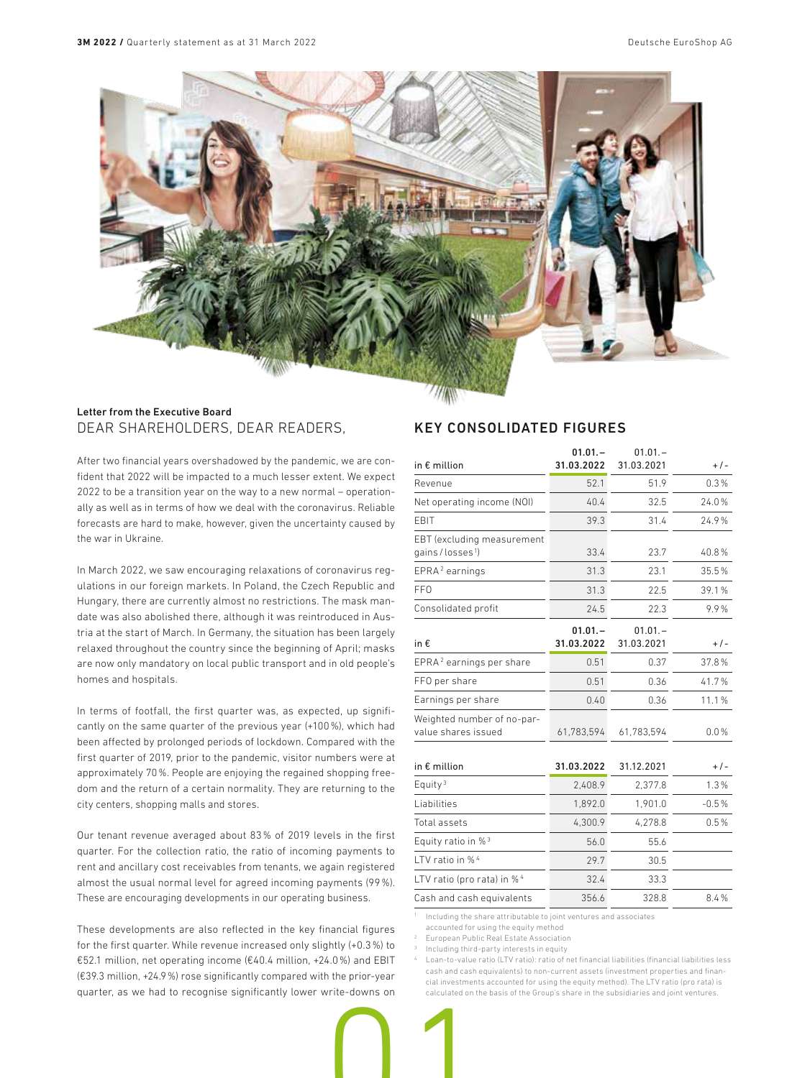

### Letter from the Executive Board DEAR SHAREHOLDERS, DEAR READERS,

After two financial years overshadowed by the pandemic, we are confident that 2022 will be impacted to a much lesser extent. We expect 2022 to be a transition year on the way to a new normal – operationally as well as in terms of how we deal with the coronavirus. Reliable forecasts are hard to make, however, given the uncertainty caused by the war in Ukraine.

In March 2022, we saw encouraging relaxations of coronavirus regulations in our foreign markets. In Poland, the Czech Republic and Hungary, there are currently almost no restrictions. The mask mandate was also abolished there, although it was reintroduced in Austria at the start of March. In Germany, the situation has been largely relaxed throughout the country since the beginning of April; masks are now only mandatory on local public transport and in old people's homes and hospitals.

In terms of footfall, the first quarter was, as expected, up significantly on the same quarter of the previous year (+100%), which had been affected by prolonged periods of lockdown. Compared with the first quarter of 2019, prior to the pandemic, visitor numbers were at approximately 70%. People are enjoying the regained shopping freedom and the return of a certain normality. They are returning to the city centers, shopping malls and stores.

Our tenant revenue averaged about 83% of 2019 levels in the first quarter. For the collection ratio, the ratio of incoming payments to rent and ancillary cost receivables from tenants, we again registered almost the usual normal level for agreed incoming payments (99%). These are encouraging developments in our operating business.

These developments are also reflected in the key financial figures for the first quarter. While revenue increased only slightly (+0.3%) to €52.1 million, net operating income (€40.4 million, +24.0%) and EBIT (€39.3 million, +24.9%) rose significantly compared with the prior-year quarter, as we had to recognise significantly lower write-downs on

### KEY CONSOLIDATED FIGURES

| in $\epsilon$ million                                     | $01.01 -$<br>31.03.2022 | $01.01 -$<br>31.03.2021 | $+/-$   |
|-----------------------------------------------------------|-------------------------|-------------------------|---------|
| Revenue                                                   | 52.1                    | 51.9                    | 0.3%    |
| Net operating income (NOI)                                | 40.4                    | 32.5                    | 24.0%   |
| EBIT                                                      | 39.3                    | 31.4                    | 24.9%   |
| EBT (excluding measurement<br>gains/losses <sup>1</sup> ) | 33.4                    | 23.7                    | 40.8%   |
| EPRA <sup>2</sup> earnings                                | 31.3                    | 23.1                    | 35.5%   |
| <b>FFO</b>                                                | 31.3                    | 22.5                    | 39.1%   |
| Consolidated profit                                       | 24.5                    | 22.3                    | 9.9%    |
| in €                                                      | $01.01 -$<br>31.03.2022 | $01.01 -$<br>31.03.2021 | $+/-$   |
| EPRA <sup>2</sup> earnings per share                      | 0.51                    | 0.37                    | 37.8%   |
| FFO per share                                             | 0.51                    | 0.36                    | 41.7%   |
| Earnings per share                                        | 0.40                    | 0.36                    | 11.1%   |
| Weighted number of no-par-<br>value shares issued         | 61,783,594              | 61,783,594              | 0.0%    |
| in $\epsilon$ million                                     | 31.03.2022              | 31.12.2021              | $+/-$   |
| Equity <sup>3</sup>                                       | 2.408.9                 | 2,377.8                 | 1.3%    |
| Liabilities                                               | 1,892.0                 | 1,901.0                 | $-0.5%$ |
| Total assets                                              | 4,300.9                 | 4,278.8                 | 0.5%    |
| Equity ratio in % <sup>3</sup>                            | 56.0                    | 55.6                    |         |
| LTV ratio in % <sup>4</sup>                               | 29.7                    | 30.5                    |         |
| LTV ratio (pro rata) in % 4                               | 32.4                    | 33.3                    |         |
| Cash and cash equivalents                                 | 356.6                   | 328.8                   | 8.4%    |

<sup>1</sup> Including the share attributable to joint ventures and associates

accounted for using the equity method

2 European Public Real Estate Association

Including third-party interests in equity

4 Loan-to-value ratio (LTV ratio): ratio of net financial liabilities (financial liabilities less cash and cash equivalents) to non-current assets (investment properties and financial investments accounted for using the equity method). The LTV ratio (pro rata) is calculated on the basis of the Group's share in the subsidiaries and joint ventures.

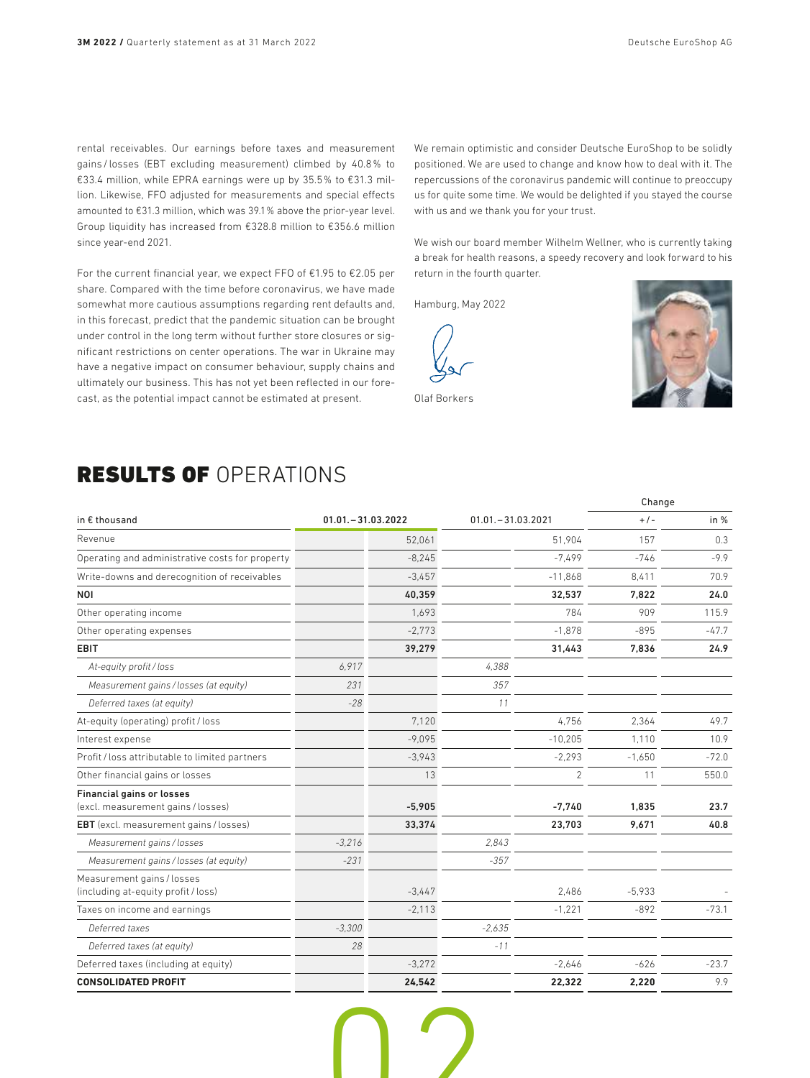rental receivables. Our earnings before taxes and measurement gains / losses (EBT excluding measurement) climbed by 40.8% to €33.4 million, while EPRA earnings were up by 35.5% to €31.3 million. Likewise, FFO adjusted for measurements and special effects amounted to €31.3 million, which was 39.1% above the prior-year level. Group liquidity has increased from €328.8 million to €356.6 million since year-end 2021.

For the current financial year, we expect FFO of €1.95 to €2.05 per share. Compared with the time before coronavirus, we have made somewhat more cautious assumptions regarding rent defaults and, in this forecast, predict that the pandemic situation can be brought under control in the long term without further store closures or significant restrictions on center operations. The war in Ukraine may have a negative impact on consumer behaviour, supply chains and ultimately our business. This has not yet been reflected in our forecast, as the potential impact cannot be estimated at present.

We remain optimistic and consider Deutsche EuroShop to be solidly positioned. We are used to change and know how to deal with it. The repercussions of the coronavirus pandemic will continue to preoccupy us for quite some time. We would be delighted if you stayed the course with us and we thank you for your trust.

We wish our board member Wilhelm Wellner, who is currently taking a break for health reasons, a speedy recovery and look forward to his return in the fourth quarter.

Hamburg, May 2022



Olaf Borkers

# RESULTS OF OPERATIONS

|                                                                        |                      |          |                      |                | Change   |         |
|------------------------------------------------------------------------|----------------------|----------|----------------------|----------------|----------|---------|
| in € thousand                                                          | $01.01 - 31.03.2022$ |          | $01.01 - 31.03.2021$ |                | $+/-$    | in $%$  |
| Revenue                                                                |                      | 52.061   |                      | 51.904         | 157      | 0.3     |
| Operating and administrative costs for property                        |                      | $-8,245$ |                      | $-7.499$       | $-746$   | $-9.9$  |
| Write-downs and derecognition of receivables                           |                      | $-3,457$ |                      | $-11,868$      | 8,411    | 70.9    |
| <b>NOI</b>                                                             |                      | 40,359   |                      | 32,537         | 7.822    | 24.0    |
| Other operating income                                                 |                      | 1.693    |                      | 784            | 909      | 115.9   |
| Other operating expenses                                               |                      | $-2,773$ |                      | $-1,878$       | $-895$   | $-47.7$ |
| <b>EBIT</b>                                                            |                      | 39,279   |                      | 31,443         | 7,836    | 24.9    |
| At-equity profit/loss                                                  | 6,917                |          | 4,388                |                |          |         |
| Measurement gains / losses (at equity)                                 | 231                  |          | 357                  |                |          |         |
| Deferred taxes (at equity)                                             | $-28$                |          | 11                   |                |          |         |
| At-equity (operating) profit / loss                                    |                      | 7.120    |                      | 4.756          | 2.364    | 49.7    |
| Interest expense                                                       |                      | $-9,095$ |                      | $-10,205$      | 1.110    | 10.9    |
| Profit / loss attributable to limited partners                         |                      | $-3,943$ |                      | $-2,293$       | $-1.650$ | $-72.0$ |
| Other financial gains or losses                                        |                      | 13       |                      | $\overline{2}$ | 11       | 550.0   |
| <b>Financial gains or losses</b><br>(excl. measurement gains / losses) |                      | $-5.905$ |                      | $-7.740$       | 1.835    | 23.7    |
| <b>EBT</b> (excl. measurement gains / losses)                          |                      | 33,374   |                      | 23,703         | 9,671    | 40.8    |
| Measurement gains/losses                                               | $-3,216$             |          | 2.843                |                |          |         |
| Measurement gains / losses (at equity)                                 | $-231$               |          | $-357$               |                |          |         |
| Measurement gains / losses<br>(including at-equity profit / loss)      |                      | $-3,447$ |                      | 2,486          | $-5.933$ |         |
| Taxes on income and earnings                                           |                      | $-2.113$ |                      | $-1,221$       | $-892$   | $-73.1$ |
| Deferred taxes                                                         | $-3,300$             |          | $-2,635$             |                |          |         |
| Deferred taxes (at equity)                                             | 28                   |          | $-11$                |                |          |         |
| Deferred taxes (including at equity)                                   |                      | $-3.272$ |                      | $-2.646$       | $-626$   | $-23.7$ |
| <b>CONSOLIDATED PROFIT</b>                                             |                      | 24.542   |                      | 22.322         | 2.220    | 9.9     |

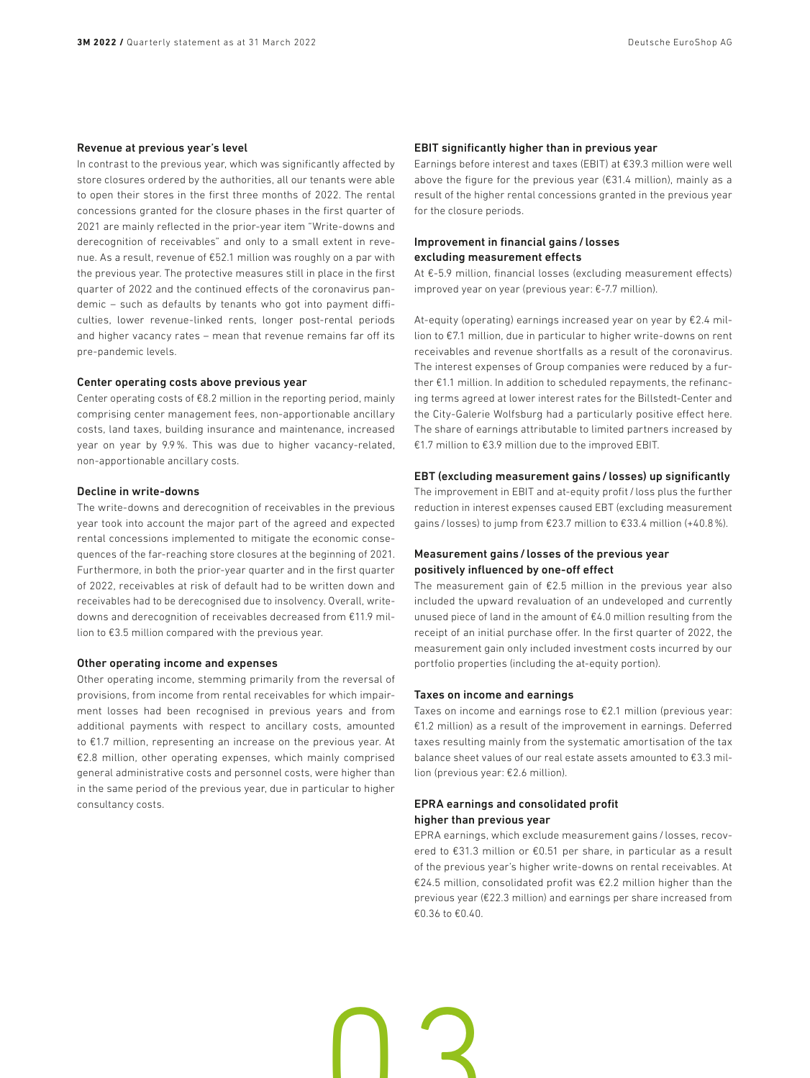#### Revenue at previous year's level

In contrast to the previous year, which was significantly affected by store closures ordered by the authorities, all our tenants were able to open their stores in the first three months of 2022. The rental concessions granted for the closure phases in the first quarter of 2021 are mainly reflected in the prior-year item "Write-downs and derecognition of receivables" and only to a small extent in revenue. As a result, revenue of €52.1 million was roughly on a par with the previous year. The protective measures still in place in the first quarter of 2022 and the continued effects of the coronavirus pandemic – such as defaults by tenants who got into payment difficulties, lower revenue-linked rents, longer post-rental periods and higher vacancy rates – mean that revenue remains far off its pre-pandemic levels.

#### Center operating costs above previous year

Center operating costs of €8.2 million in the reporting period, mainly comprising center management fees, non-apportionable ancillary costs, land taxes, building insurance and maintenance, increased year on year by 9.9%. This was due to higher vacancy-related, non-apportionable ancillary costs.

#### Decline in write-downs

The write-downs and derecognition of receivables in the previous year took into account the major part of the agreed and expected rental concessions implemented to mitigate the economic consequences of the far-reaching store closures at the beginning of 2021. Furthermore, in both the prior-year quarter and in the first quarter of 2022, receivables at risk of default had to be written down and receivables had to be derecognised due to insolvency. Overall, writedowns and derecognition of receivables decreased from €11.9 million to €3.5 million compared with the previous year.

### Other operating income and expenses

Other operating income, stemming primarily from the reversal of provisions, from income from rental receivables for which impairment losses had been recognised in previous years and from additional payments with respect to ancillary costs, amounted to €1.7 million, representing an increase on the previous year. At €2.8 million, other operating expenses, which mainly comprised general administrative costs and personnel costs, were higher than in the same period of the previous year, due in particular to higher consultancy costs.

#### EBIT significantly higher than in previous year

Earnings before interest and taxes (EBIT) at €39.3 million were well above the figure for the previous year (€31.4 million), mainly as a result of the higher rental concessions granted in the previous year for the closure periods.

### Improvement in financial gains/ losses excluding measurement effects

At €-5.9 million, financial losses (excluding measurement effects) improved year on year (previous year: €-7.7 million).

At-equity (operating) earnings increased year on year by €2.4 million to €7.1 million, due in particular to higher write-downs on rent receivables and revenue shortfalls as a result of the coronavirus. The interest expenses of Group companies were reduced by a further €1.1 million. In addition to scheduled repayments, the refinancing terms agreed at lower interest rates for the Billstedt-Center and the City-Galerie Wolfsburg had a particularly positive effect here. The share of earnings attributable to limited partners increased by €1.7 million to €3.9 million due to the improved EBIT.

#### EBT (excluding measurement gains/ losses) up significantly

The improvement in EBIT and at-equity profit / loss plus the further reduction in interest expenses caused EBT (excluding measurement gains / losses) to jump from €23.7 million to €33.4 million (+40.8%).

### Measurement gains/ losses of the previous year positively influenced by one-off effect

The measurement gain of  $E2.5$  million in the previous year also included the upward revaluation of an undeveloped and currently unused piece of land in the amount of €4.0 million resulting from the receipt of an initial purchase offer. In the first quarter of 2022, the measurement gain only included investment costs incurred by our portfolio properties (including the at-equity portion).

### Taxes on income and earnings

Taxes on income and earnings rose to €2.1 million (previous year: €1.2 million) as a result of the improvement in earnings. Deferred taxes resulting mainly from the systematic amortisation of the tax balance sheet values of our real estate assets amounted to €3.3 million (previous year: €2.6 million).

### EPRA earnings and consolidated profit higher than previous year

EPRA earnings, which exclude measurement gains / losses, recovered to €31.3 million or €0.51 per share, in particular as a result of the previous year's higher write-downs on rental receivables. At €24.5 million, consolidated profit was €2.2 million higher than the previous year (€22.3 million) and earnings per share increased from €0.36 to €0.40.

n ?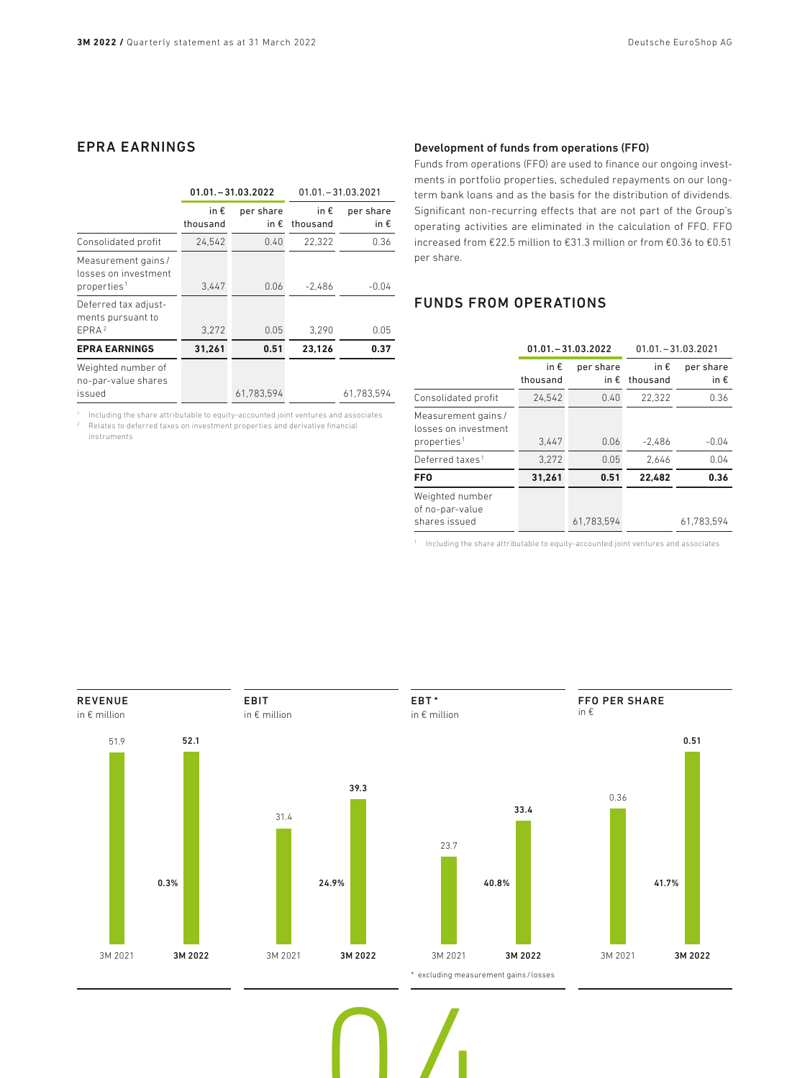## EPRA EARNINGS

|                                                                        | $01.01 - 31.03.2022$ |                            | $01.01 - 31.03.2021$      |                   |
|------------------------------------------------------------------------|----------------------|----------------------------|---------------------------|-------------------|
|                                                                        | in €<br>thousand     | per share<br>in $\epsilon$ | in $\epsilon$<br>thousand | per share<br>in € |
| Consolidated profit                                                    | 24,542               | 0.40                       | 22.322                    | 0.36              |
| Measurement gains /<br>losses on investment<br>properties <sup>1</sup> | 3,447                | 0.06                       | $-2.486$                  | $-0.04$           |
| Deferred tax adjust-<br>ments pursuant to<br>EPRA <sup>2</sup>         | 3.272                | 0.05                       | 3.290                     | 0.05              |
| <b>EPRA EARNINGS</b>                                                   | 31,261               | 0.51                       | 23.126                    | 0.37              |
| Weighted number of<br>no-par-value shares<br>issued                    |                      | 61.783.594                 |                           | 61.783.594        |

<sup>1</sup> Including the share attributable to equity-accounted joint ventures and associates <sup>2</sup> Relates to deferred taxes on investment properties and derivative financial instruments

### Development of funds from operations (FFO)

Funds from operations (FFO) are used to finance our ongoing investments in portfolio properties, scheduled repayments on our longterm bank loans and as the basis for the distribution of dividends. Significant non-recurring effects that are not part of the Group's operating activities are eliminated in the calculation of FFO. FFO increased from €22.5 million to €31.3 million or from €0.36 to €0.51 per share.

### FUNDS FROM OPERATIONS

|                                                                       | $01.01 - 31.03.2022$      |                            | $01.01 - 31.03.2021$      |                            |
|-----------------------------------------------------------------------|---------------------------|----------------------------|---------------------------|----------------------------|
|                                                                       | in $\epsilon$<br>thousand | per share<br>in $\epsilon$ | in $\epsilon$<br>thousand | per share<br>in $\epsilon$ |
| Consolidated profit                                                   | 24,542                    | 0.40                       | 22,322                    | 0.36                       |
| Measurement gains/<br>losses on investment<br>properties <sup>1</sup> | 3.447                     | 0.06                       | $-2.486$                  | $-0.04$                    |
| Deferred taxes <sup>1</sup>                                           | 3.272                     | 0.05                       | 2.646                     | 0.04                       |
| <b>FFO</b>                                                            | 31.261                    | 0.51                       | 22.482                    | 0.36                       |
| Weighted number<br>of no-par-value<br>shares issued                   |                           | 61.783.594                 |                           | 61.783.594                 |

<sup>1</sup> Including the share attributable to equity-accounted joint ventures and associates

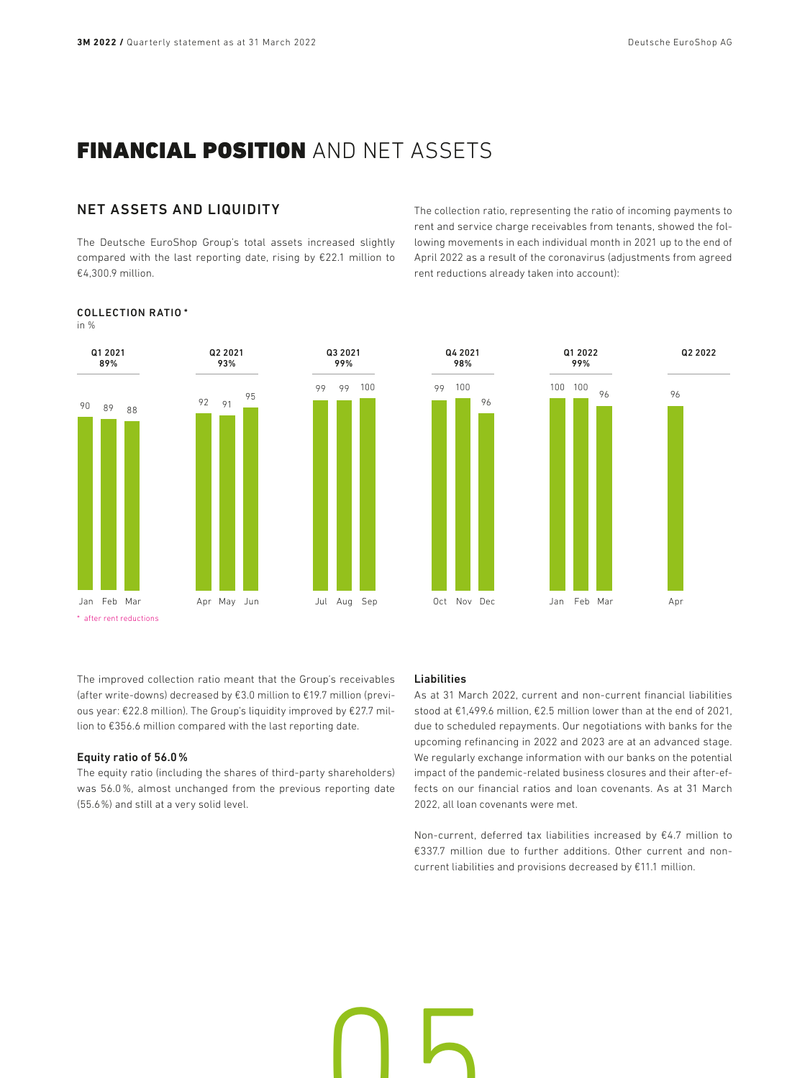# FINANCIAL POSITION AND NET ASSETS

### NET ASSETS AND LIQUIDITY

COLLECTION RATIO \*

in %

The Deutsche EuroShop Group's total assets increased slightly compared with the last reporting date, rising by €22.1 million to €4,300.9 million.

The collection ratio, representing the ratio of incoming payments to rent and service charge receivables from tenants, showed the following movements in each individual month in 2021 up to the end of April 2022 as a result of the coronavirus (adjustments from agreed rent reductions already taken into account):

### Q1 2021 89% 90 Jan Feb Mar 89 88 Q2 2021 93% 92 Apr May Jun 91 95 Q3 2021 99% 99 Jul Aug Sep 99 100 \* after rent reductions



The improved collection ratio meant that the Group's receivables (after write-downs) decreased by €3.0 million to €19.7 million (previous year: €22.8 million). The Group's liquidity improved by €27.7 million to €356.6 million compared with the last reporting date.

### Equity ratio of 56.0%

The equity ratio (including the shares of third-party shareholders) was 56.0%, almost unchanged from the previous reporting date (55.6%) and still at a very solid level.

### Liabilities

**05** 

As at 31 March 2022, current and non-current financial liabilities stood at €1,499.6 million, €2.5 million lower than at the end of 2021, due to scheduled repayments. Our negotiations with banks for the upcoming refinancing in 2022 and 2023 are at an advanced stage. We regularly exchange information with our banks on the potential impact of the pandemic-related business closures and their after-effects on our financial ratios and loan covenants. As at 31 March 2022, all loan covenants were met.

Non-current, deferred tax liabilities increased by €4.7 million to €337.7 million due to further additions. Other current and noncurrent liabilities and provisions decreased by €11.1 million.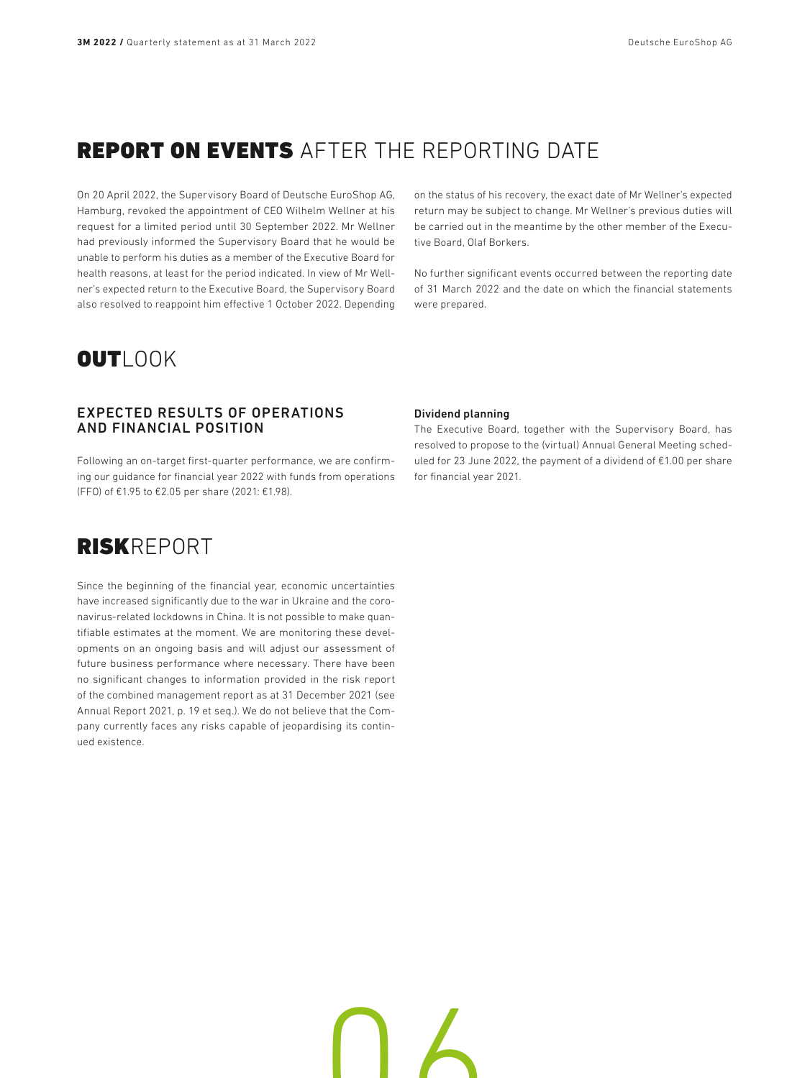# REPORT ON EVENTS AFTER THE REPORTING DATE

On 20 April 2022, the Supervisory Board of Deutsche EuroShop AG, Hamburg, revoked the appointment of CEO Wilhelm Wellner at his request for a limited period until 30 September 2022. Mr Wellner had previously informed the Supervisory Board that he would be unable to perform his duties as a member of the Executive Board for health reasons, at least for the period indicated. In view of Mr Wellner's expected return to the Executive Board, the Supervisory Board also resolved to reappoint him effective 1 October 2022. Depending on the status of his recovery, the exact date of Mr Wellner's expected return may be subject to change. Mr Wellner's previous duties will be carried out in the meantime by the other member of the Executive Board, Olaf Borkers.

No further significant events occurred between the reporting date of 31 March 2022 and the date on which the financial statements were prepared.

# OUTLOOK

### EXPECTED RESULTS OF OPERATIONS AND FINANCIAL POSITION

Following an on-target first-quarter performance, we are confirming our guidance for financial year 2022 with funds from operations (FFO) of €1.95 to €2.05 per share (2021: €1.98).

### Dividend planning

The Executive Board, together with the Supervisory Board, has resolved to propose to the (virtual) Annual General Meeting scheduled for 23 June 2022, the payment of a dividend of €1.00 per share for financial year 2021.

# RISKREPORT

Since the beginning of the financial year, economic uncertainties have increased significantly due to the war in Ukraine and the coronavirus-related lockdowns in China. It is not possible to make quantifiable estimates at the moment. We are monitoring these developments on an ongoing basis and will adjust our assessment of future business performance where necessary. There have been no significant changes to information provided in the risk report of the combined management report as at 31 December 2021 (see Annual Report 2021, p. 19 et seq.). We do not believe that the Company currently faces any risks capable of jeopardising its continued existence.

06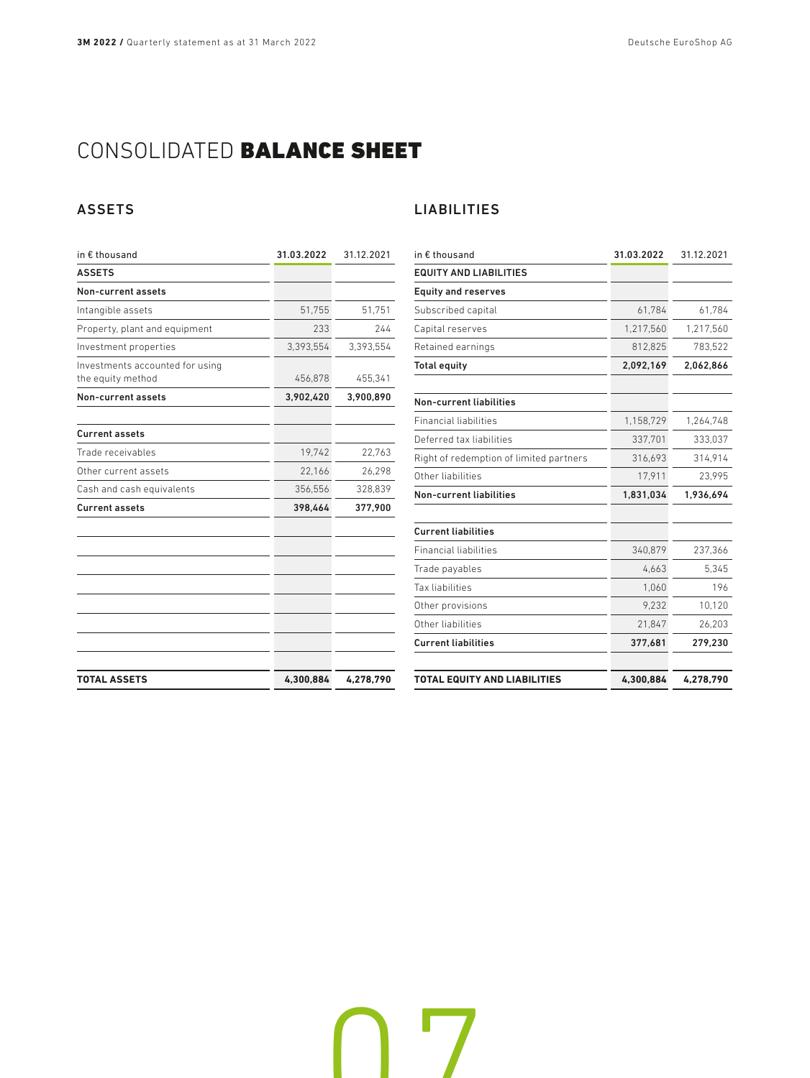# CONSOLIDATED BALANCE SHEET

## ASSETS

| in € thousand                                        | 31.03.2022 | 31.12.2021 |
|------------------------------------------------------|------------|------------|
| <b>ASSETS</b>                                        |            |            |
| Non-current assets                                   |            |            |
| Intangible assets                                    | 51,755     | 51,751     |
| Property, plant and equipment                        | 233        | 244        |
| Investment properties                                | 3,393,554  | 3,393,554  |
| Investments accounted for using<br>the equity method | 456,878    | 455,341    |
| <b>Non-current assets</b>                            | 3,902,420  | 3,900,890  |
| <b>Current assets</b>                                |            |            |
| Trade receivables                                    | 19.742     | 22.763     |
| Other current assets                                 | 22,166     | 26,298     |
| Cash and cash equivalents                            | 356,556    | 328,839    |
| <b>Current assets</b>                                | 398,464    | 377,900    |
|                                                      |            |            |
| <b>TOTAL ASSETS</b>                                  | 4,300,884  | 4,278,790  |

## LIABILITIES

<u>07</u>

| in € thousand                           | 31.03.2022 | 31.12.2021 |
|-----------------------------------------|------------|------------|
| <b>EQUITY AND LIABILITIES</b>           |            |            |
| <b>Equity and reserves</b>              |            |            |
| Subscribed capital                      | 61,784     | 61,784     |
| Capital reserves                        | 1,217,560  | 1,217,560  |
| Retained earnings                       | 812,825    | 783,522    |
| <b>Total equity</b>                     | 2,092,169  | 2,062,866  |
| <b>Non-current liabilities</b>          |            |            |
| <b>Financial liabilities</b>            | 1,158,729  | 1,264,748  |
| Deferred tax liabilities                | 337,701    | 333,037    |
| Right of redemption of limited partners | 316,693    | 314,914    |
| Other liabilities                       | 17,911     | 23,995     |
| Non-current liabilities                 | 1,831,034  | 1,936,694  |
| <b>Current liabilities</b>              |            |            |
| <b>Financial liabilities</b>            | 340,879    | 237,366    |
| Trade payables                          | 4,663      | 5,345      |
| Tax liabilities                         | 1,060      | 196        |
| Other provisions                        | 9.232      | 10,120     |
| Other liabilities                       | 21,847     | 26,203     |
| <b>Current liabilities</b>              | 377,681    | 279,230    |
| <b>TOTAL EQUITY AND LIABILITIES</b>     | 4,300,884  | 4,278,790  |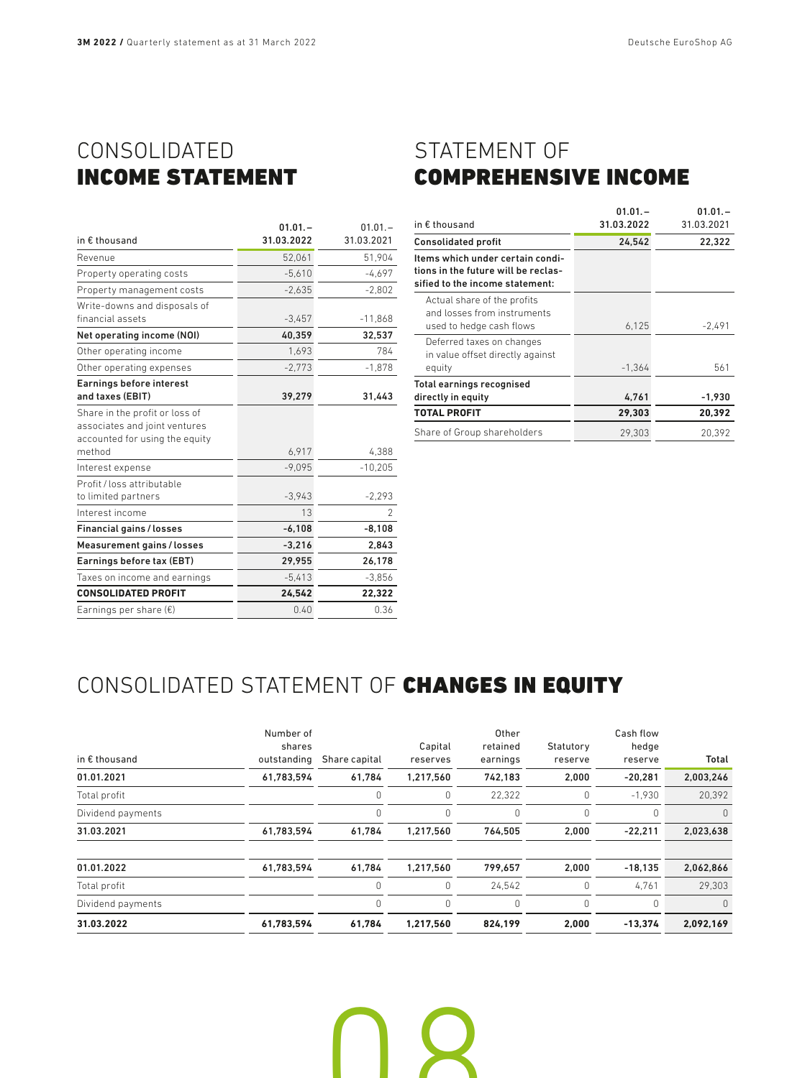# CONSOLIDATED INCOME STATEMENT

| in € thousand                                                                                               | $01.01 -$<br>31.03.2022 | $01.01 -$<br>31.03.2021  |
|-------------------------------------------------------------------------------------------------------------|-------------------------|--------------------------|
| Revenue                                                                                                     | 52,061                  | 51,904                   |
| Property operating costs                                                                                    | $-5,610$                | $-4.697$                 |
| Property management costs                                                                                   | $-2,635$                | $-2,802$                 |
| Write-downs and disposals of<br>financial assets                                                            | $-3,457$                | $-11,868$                |
| Net operating income (NOI)                                                                                  | 40,359                  | 32,537                   |
| Other operating income                                                                                      | 1,693                   | 784                      |
| Other operating expenses                                                                                    | $-2,773$                | $-1,878$                 |
| Earnings before interest<br>and taxes (EBIT)                                                                | 39,279                  | 31,443                   |
| Share in the profit or loss of<br>associates and joint ventures<br>accounted for using the equity<br>method | 6,917                   | 4,388                    |
| Interest expense                                                                                            | $-9.095$                | $-10,205$                |
| Profit / loss attributable<br>to limited partners                                                           | $-3,943$                | $-2,293$                 |
| Interest income                                                                                             | 13                      | $\overline{\phantom{a}}$ |
| <b>Financial gains / losses</b>                                                                             | $-6,108$                | $-8,108$                 |
| Measurement gains / losses                                                                                  | $-3,216$                | 2,843                    |
| Earnings before tax (EBT)                                                                                   | 29.955                  | 26,178                   |
| Taxes on income and earnings                                                                                | $-5,413$                | $-3,856$                 |
| <b>CONSOLIDATED PROFIT</b>                                                                                  | 24.542                  | 22,322                   |
| Earnings per share $(\epsilon)$                                                                             | 0.40                    | 0.36                     |
|                                                                                                             |                         |                          |

# STATEMENT OF COMPREHENSIVE INCOME

|                                                                                                            | $01.01 -$  | $01.01 -$  |
|------------------------------------------------------------------------------------------------------------|------------|------------|
| in $\epsilon$ thousand                                                                                     | 31.03.2022 | 31.03.2021 |
| <b>Consolidated profit</b>                                                                                 | 24,542     | 22.322     |
| Items which under certain condi-<br>tions in the future will be reclas-<br>sified to the income statement: |            |            |
| Actual share of the profits<br>and losses from instruments<br>used to hedge cash flows                     | 6,125      | $-2,491$   |
| Deferred taxes on changes<br>in value offset directly against<br>equity                                    | $-1,364$   | 561        |
| Total earnings recognised<br>directly in equity                                                            | 4,761      | $-1,930$   |
| <b>TOTAL PROFIT</b>                                                                                        | 29,303     | 20,392     |
| Share of Group shareholders                                                                                | 29.303     | 20.392     |

# CONSOLIDATED STATEMENT OF CHANGES IN EQUITY

| in $\epsilon$ thousand | Number of<br>shares<br>outstanding | Share capital | Capital<br>reserves | Other<br>retained<br>earnings | Statutory<br>reserve | Cash flow<br>hedge<br>reserve | Total     |
|------------------------|------------------------------------|---------------|---------------------|-------------------------------|----------------------|-------------------------------|-----------|
| 01.01.2021             | 61,783,594                         | 61.784        | 1,217,560           | 742.183                       | 2.000                | $-20.281$                     | 2,003,246 |
| Total profit           |                                    |               | 0                   | 22,322                        | 0                    | $-1,930$                      | 20,392    |
| Dividend payments      |                                    | 0             | $\Omega$            | 0                             | 0                    | 0                             | $\Omega$  |
| 31.03.2021             | 61,783,594                         | 61,784        | 1,217,560           | 764.505                       | 2,000                | $-22,211$                     | 2,023,638 |
| 01.01.2022             | 61,783,594                         | 61,784        | 1,217,560           | 799.657                       | 2,000                | $-18,135$                     | 2,062,866 |
| Total profit           |                                    |               | 0                   | 24,542                        | 0                    | 4,761                         | 29.303    |
| Dividend payments      |                                    |               | 0                   | $\Omega$                      | 0                    | $\Omega$                      | $\Omega$  |
| 31.03.2022             | 61,783,594                         | 61.784        | 1.217.560           | 824.199                       | 2.000                | $-13.374$                     | 2,092,169 |

**ng**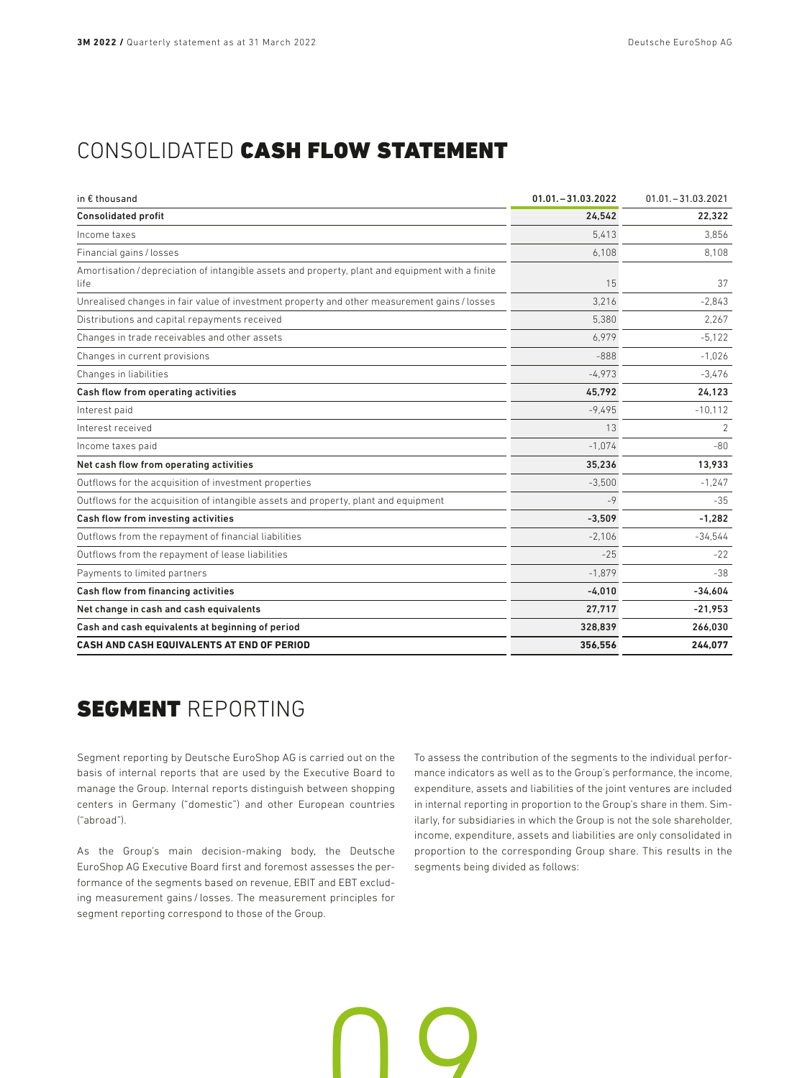# CONSOLIDATED CASH FLOW STATEMENT

| in € thousand                                                                                            | $01.01 - 31.03.2022$ | $01.01 - 31.03.2021$ |
|----------------------------------------------------------------------------------------------------------|----------------------|----------------------|
| <b>Consolidated profit</b>                                                                               | 24,542               | 22,322               |
| Income taxes                                                                                             | 5.413                | 3.856                |
| Financial gains / losses                                                                                 | 6,108                | 8,108                |
| Amortisation / depreciation of intangible assets and property, plant and equipment with a finite<br>life | 15                   | 37                   |
| Unrealised changes in fair value of investment property and other measurement gains / losses             | 3.216                | $-2.843$             |
| Distributions and capital repayments received                                                            | 5.380                | 2.267                |
| Changes in trade receivables and other assets                                                            | 6.979                | $-5,122$             |
| Changes in current provisions                                                                            | $-888$               | $-1.026$             |
| Changes in liabilities                                                                                   | $-4.973$             | $-3.476$             |
| Cash flow from operating activities                                                                      | 45.792               | 24.123               |
| Interest paid                                                                                            | $-9.495$             | $-10,112$            |
| Interest received                                                                                        | 13                   | 2                    |
| Income taxes paid                                                                                        | $-1,074$             | $-80$                |
| Net cash flow from operating activities                                                                  | 35,236               | 13,933               |
| Outflows for the acquisition of investment properties                                                    | $-3.500$             | $-1.247$             |
| Outflows for the acquisition of intangible assets and property, plant and equipment                      | $-9$                 | $-35$                |
| Cash flow from investing activities                                                                      | $-3,509$             | $-1.282$             |
| Outflows from the repayment of financial liabilities                                                     | $-2.106$             | $-34,544$            |
| Outflows from the repayment of lease liabilities                                                         | $-25$                | $-22$                |
| Payments to limited partners                                                                             | $-1,879$             | $-38$                |
| Cash flow from financing activities                                                                      | $-4.010$             | $-34.604$            |
| Net change in cash and cash equivalents                                                                  | 27,717               | $-21,953$            |
| Cash and cash equivalents at beginning of period                                                         | 328,839              | 266,030              |
| CASH AND CASH EQUIVALENTS AT END OF PERIOD                                                               | 356,556              | 244,077              |

n 0

# **SEGMENT REPORTING**

Segment reporting by Deutsche EuroShop AG is carried out on the basis of internal reports that are used by the Executive Board to manage the Group. Internal reports distinguish between shopping centers in Germany ("domestic") and other European countries ("abroad").

As the Group's main decision-making body, the Deutsche EuroShop AG Executive Board first and foremost assesses the performance of the segments based on revenue, EBIT and EBT excluding measurement gains / losses. The measurement principles for segment reporting correspond to those of the Group.

To assess the contribution of the segments to the individual performance indicators as well as to the Group's performance, the income, expenditure, assets and liabilities of the joint ventures are included in internal reporting in proportion to the Group's share in them. Similarly, for subsidiaries in which the Group is not the sole shareholder, income, expenditure, assets and liabilities are only consolidated in proportion to the corresponding Group share. This results in the segments being divided as follows: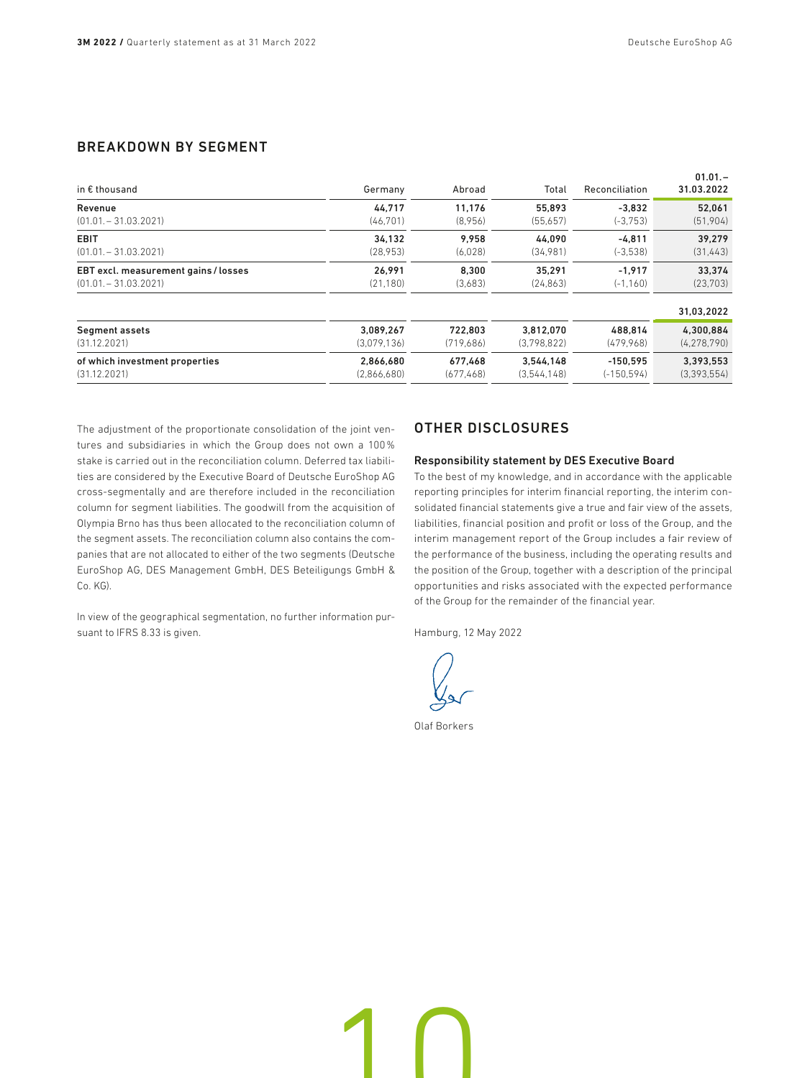## BREAKDOWN BY SEGMENT

| in $\epsilon$ thousand               | Germany     | Abroad     | Total       | Reconciliation | $01.01 -$<br>31.03.2022 |
|--------------------------------------|-------------|------------|-------------|----------------|-------------------------|
| Revenue                              | 44.717      | 11.176     | 55.893      | $-3.832$       | 52.061                  |
| $(01.01 - 31.03.2021)$               | (46, 701)   | (8,956)    | (55,657)    | $(-3.753)$     | (51,904)                |
| <b>EBIT</b>                          | 34.132      | 9.958      | 44.090      | $-4.811$       | 39.279                  |
| $(01.01 - 31.03.2021)$               | (28.953)    | (6,028)    | (34,981)    | $(-3,538)$     | (31, 443)               |
| EBT excl. measurement gains / losses | 26.991      | 8.300      | 35.291      | $-1.917$       | 33.374                  |
| $(01.01 - 31.03.2021)$               | (21, 180)   | (3,683)    | (24, 863)   | $(-1, 160)$    | (23, 703)               |
|                                      |             |            |             |                | 31,03,2022              |
| Segment assets                       | 3,089,267   | 722.803    | 3,812,070   | 488,814        | 4,300,884               |
| (31.12.2021)                         | (3.079.136) | (719.686)  | (3.798.822) | (479.968)      | (4, 278, 790)           |
| of which investment properties       | 2,866,680   | 677.468    | 3.544.148   | $-150.595$     | 3,393,553               |
| (31.12.2021)                         | (2,866,680) | (677, 468) | (3,544,148) | $(-150, 594)$  | (3,393,554)             |

The adjustment of the proportionate consolidation of the joint ventures and subsidiaries in which the Group does not own a 100% stake is carried out in the reconciliation column. Deferred tax liabilities are considered by the Executive Board of Deutsche EuroShop AG cross-segmentally and are therefore included in the reconciliation column for segment liabilities. The goodwill from the acquisition of Olympia Brno has thus been allocated to the reconciliation column of the segment assets. The reconciliation column also contains the companies that are not allocated to either of the two segments (Deutsche EuroShop AG, DES Management GmbH, DES Beteiligungs GmbH & Co. KG).

In view of the geographical segmentation, no further information pursuant to IFRS 8.33 is given.

### OTHER DISCLOSURES

### Responsibility statement by DES Executive Board

To the best of my knowledge, and in accordance with the applicable reporting principles for interim financial reporting, the interim consolidated financial statements give a true and fair view of the assets, liabilities, financial position and profit or loss of the Group, and the interim management report of the Group includes a fair review of the performance of the business, including the operating results and the position of the Group, together with a description of the principal opportunities and risks associated with the expected performance of the Group for the remainder of the financial year.

Hamburg, 12 May 2022

Olaf Borkers

10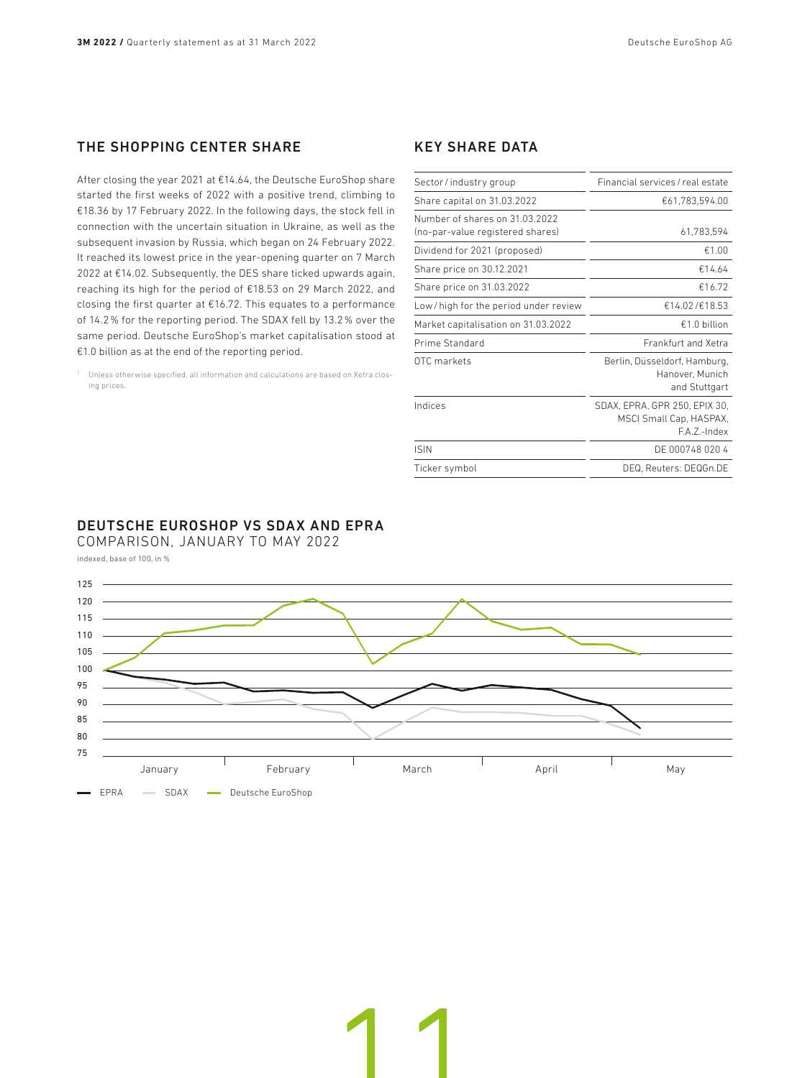## THE SHOPPING CENTER SHARE

After closing the year 2021 at €14.64, the Deutsche EuroShop share started the first weeks of 2022 with a positive trend, climbing to €18.36 by 17 February 2022. In the following days, the stock fell in connection with the uncertain situation in Ukraine, as well as the subsequent invasion by Russia, which began on 24 February 2022. It reached its lowest price in the year-opening quarter on 7 March 2022 at €14.02. Subsequently, the DES share ticked upwards again, reaching its high for the period of €18.53 on 29 March 2022, and closing the first quarter at €16.72. This equates to a performance of 14.2% for the reporting period. The SDAX fell by 13.2% over the same period. Deutsche EuroShop's market capitalisation stood at €1.0 billion as at the end of the reporting period.

<sup>1</sup> Unless otherwise specified, all information and calculations are based on Xetra closing prices.

### KEY SHARE DATA

| Financial services / real estate                                       |
|------------------------------------------------------------------------|
| €61,783,594.00                                                         |
| 61,783,594                                                             |
| €1.00                                                                  |
| €14.64                                                                 |
| €16.72                                                                 |
| €14.02/€18.53                                                          |
| $£1.0$ billion                                                         |
| Frankfurt and Xetra                                                    |
| Berlin, Düsseldorf, Hamburg,<br>Hanover, Munich<br>and Stuttgart       |
| SDAX, EPRA, GPR 250, EPIX 30,<br>MSCI Small Cap, HASPAX,<br>FA 7-Index |
| DE 000748 020 4                                                        |
| DEQ, Reuters: DEQGn.DE                                                 |
|                                                                        |

### DEUTSCHE EUROSHOP VS SDAX AND EPRA

COMPARISON, JANUARY TO MAY 2022 indexed, base of 100, in %



11